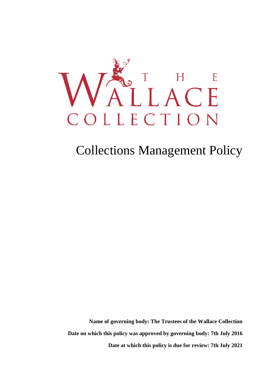

# Collections Management Policy

 **Date at which this policy is due for review: 7th July 2021 Name of governing body: The Trustees of the Wallace Collection Date on which this policy was approved by governing body: 7th July 2016**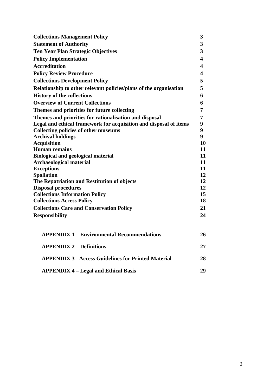| <b>Collections Management Policy</b>                              | 3              |
|-------------------------------------------------------------------|----------------|
| <b>Statement of Authority</b>                                     | 3              |
| <b>Ten Year Plan Strategic Objectives</b>                         | $\overline{3}$ |
| <b>Policy Implementation</b>                                      | 4              |
| <b>Accreditation</b>                                              | 4              |
| <b>Policy Review Procedure</b>                                    | 4              |
| <b>Collections Development Policy</b>                             | 5              |
| Relationship to other relevant policies/plans of the organisation | 5              |
| <b>History of the collections</b>                                 | 6              |
| <b>Overview of Current Collections</b>                            | 6              |
| Themes and priorities for future collecting                       | 7              |
| Themes and priorities for rationalisation and disposal            | 7              |
| Legal and ethical framework for acquisition and disposal of items | 9              |
| <b>Collecting policies of other museums</b>                       | 9              |
| <b>Archival holdings</b>                                          | 9              |
| <b>Acquisition</b>                                                | 10             |
| <b>Human remains</b>                                              | 11             |
| <b>Biological and geological material</b>                         | 11             |
| <b>Archaeological material</b>                                    | 11             |
| <b>Exceptions</b>                                                 | 11             |
| <b>Spoliation</b>                                                 | 12             |
| The Repatriation and Restitution of objects                       | 12             |
| <b>Disposal procedures</b>                                        | 12             |
| <b>Collections Information Policy</b>                             | 15             |
| <b>Collections Access Policy</b>                                  | 18             |
| <b>Collections Care and Conservation Policy</b>                   | 21             |
| <b>Responsibility</b>                                             | 24             |
| <b>APPENDIX 1 – Environmental Recommendations</b>                 | 26             |
| <b>APPENDIX 2 – Definitions</b>                                   | 27             |
| <b>APPENDIX 3 - Access Guidelines for Printed Material</b>        | 28             |
| <b>APPENDIX 4 – Legal and Ethical Basis</b>                       | 29             |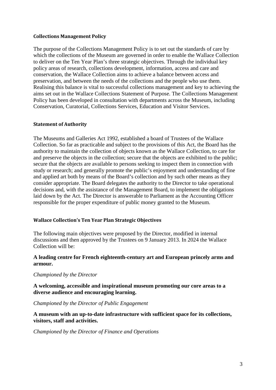#### **Collections Management Policy**

 which the collections of the Museum are governed in order to enable the Wallace Collection policy areas of research, collections development, information, access and care and The purpose of the Collections Management Policy is to set out the standards of care by to deliver on the Ten Year Plan's three strategic objectives. Through the individual key conservation, the Wallace Collection aims to achieve a balance between access and preservation, and between the needs of the collections and the people who use them. Realising this balance is vital to successful collections management and key to achieving the aims set out in the Wallace Collections Statement of Purpose. The Collections Management Policy has been developed in consultation with departments across the Museum, including Conservation, Curatorial, Collections Services, Education and Visitor Services.

#### **Statement of Authority**

 Collection. So far as practicable and subject to the provisions of this Act, the Board has the study or research; and generally promote the public's enjoyment and understanding of fine and applied art both by means of the Board's collection and by such other means as they The Museums and Galleries Act 1992, established a board of Trustees of the Wallace authority to maintain the collection of objects known as the Wallace Collection, to care for and preserve the objects in the collection; secure that the objects are exhibited to the public; secure that the objects are available to persons seeking to inspect them in connection with consider appropriate. The Board delegates the authority to the Director to take operational decisions and, with the assistance of the Management Board, to implement the obligations laid down by the Act. The Director is answerable to Parliament as the Accounting Officer responsible for the proper expenditure of public money granted to the Museum.

#### **Wallace Collection's Ten Year Plan Strategic Objectives**

The following main objectives were proposed by the Director, modified in internal discussions and then approved by the Trustees on 9 January 2013. In 2024 the Wallace Collection will be:

#### **armour. A leading centre for French eighteenth-century art and European princely arms and**

#### *Championed by the Director*

**A welcoming, accessible and inspirational museum promoting our core areas to a diverse audience and encouraging learning.** 

#### *Championed by the Director of Public Engagement*

**A museum with an up-to-date infrastructure with sufficient space for its collections, visitors, staff and activities.** 

*Championed by the Director of Finance and Operations*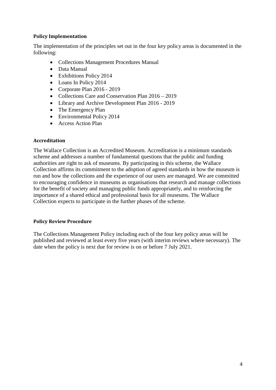#### **Policy Implementation**

 The implementation of the principles set out in the four key policy areas is documented in the following:

- Collections Management Procedures Manual
- Data Manual
- Exhibitions Policy 2014
- Loans In Policy 2014
- Corporate Plan 2016 2019
- Collections Care and Conservation Plan 2016 2019
- Library and Archive Development Plan 2016 2019
- The Emergency Plan
- Environmental Policy 2014
- Access Action Plan

#### **Accreditation**

 run and how the collections and the experience of our users are managed. We are committed Collection expects to participate in the further phases of the scheme. The Wallace Collection is an Accredited Museum. Accreditation is a minimum standards scheme and addresses a number of fundamental questions that the public and funding authorities are right to ask of museums. By participating in this scheme, the Wallace Collection affirms its commitment to the adoption of agreed standards in how the museum is to encouraging confidence in museums as organisations that research and manage collections for the benefit of society and managing public funds appropriately, and to reinforcing the importance of a shared ethical and professional basis for all museums. The Wallace

# **Policy Review Procedure**

 The Collections Management Policy including each of the four key policy areas will be published and reviewed at least every five years (with interim reviews where necessary). The date when the policy is next due for review is on or before 7 July 2021.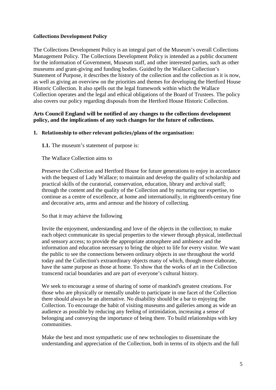#### **Collections Development Policy**

 as well as giving an overview on the priorities and themes for developing the Hertford House Collection operates and the legal and ethical obligations of the Board of Trustees. The policy The Collections Development Policy is an integral part of the Museum's overall Collections Management Policy. The Collections Development Policy is intended as a public document for the information of Government, Museum staff, and other interested parties, such as other museums and grant-giving and funding bodies. Guided by the Wallace Collection's Statement of Purpose, it describes the history of the collection and the collection as it is now, Historic Collection. It also spells out the legal framework within which the Wallace also covers our policy regarding disposals from the Hertford House Historic Collection.

#### **Arts Council England will be notified of any changes to the collections development policy, and the implications of any such changes for the future of collections.**

#### **1. Relationship to other relevant policies/plans of the organisation:**

**1.1.** The museum's statement of purpose is:

The Wallace Collection aims to

 with the bequest of Lady Wallace; to maintain and develop the quality of scholarship and Preserve the Collection and Hertford House for future generations to enjoy in accordance practical skills of the curatorial, conservation, education, library and archival staff; through the content and the quality of the Collection and by nurturing our expertise, to continue as a centre of excellence, at home and internationally, in eighteenth-century fine and decorative arts, arms and armour and the history of collecting.

#### So that it may achieve the following

 and sensory access; to provide the appropriate atmosphere and ambience and the Invite the enjoyment, understanding and love of the objects in the collection; to make each object communicate its special properties to the viewer through physical, intellectual information and education necessary to bring the object to life for every visitor. We want the public to see the connections between ordinary objects in use throughout the world today and the Collection's extraordinary objects many of which, though more elaborate, have the same purpose as those at home. To show that the works of art in the Collection transcend racial boundaries and are part of everyone's cultural history.

 We seek to encourage a sense of sharing of some of mankind's greatest creations. For there should always be an alternative. No disability should be a bar to enjoying the Collection. To encourage the habit of visiting museums and galleries among as wide an those who are physically or mentally unable to participate in one facet of the Collection audience as possible by reducing any feeling of intimidation, increasing a sense of belonging and conveying the importance of being there. To build relationships with key communities.

Make the best and most sympathetic use of new technologies to disseminate the understanding and appreciation of the Collection, both in terms of its objects and the full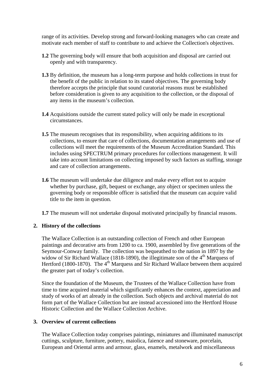motivate each member of staff to contribute to and achieve the Collection's objectives. range of its activities. Develop strong and forward-looking managers who can create and

- **1.2** The governing body will ensure that both acquisition and disposal are carried out openly and with transparency.
- **1.3** By definition, the museum has a long-term purpose and holds collections in trust for the benefit of the public in relation to its stated objectives. The governing body therefore accepts the principle that sound curatorial reasons must be established before consideration is given to any acquisition to the collection, or the disposal of any items in the museum's collection.
- **1.4** Acquisitions outside the current stated policy will only be made in exceptional circumstances.
- **1.5** The museum recognises that its responsibility, when acquiring additions to its collections, to ensure that care of collections, documentation arrangements and use of collections will meet the requirements of the Museum Accreditation Standard. This includes using SPECTRUM primary procedures for collections management. It will take into account limitations on collecting imposed by such factors as staffing, storage and care of collection arrangements.
- **1.6** The museum will undertake due diligence and make every effort not to acquire whether by purchase, gift, bequest or exchange, any object or specimen unless the governing body or responsible officer is satisfied that the museum can acquire valid title to the item in question.

**1.7** The museum will not undertake disposal motivated principally by financial reasons.

# **2. History of the collections**

widow of Sir Richard Wallace (1818-1890), the illegitimate son of the  $4<sup>th</sup>$  Marquess of the greater part of today's collection. The Wallace Collection is an outstanding collection of French and other European paintings and decorative arts from 1200 to ca. 1900, assembled by five generations of the Seymour-Conway family. The collection was bequeathed to the nation in 1897 by the Hertford (1800-1870). The  $4<sup>th</sup>$  Marquess and Sir Richard Wallace between them acquired

 study of works of art already in the collection. Such objects and archival material do not Since the foundation of the Museum, the Trustees of the Wallace Collection have from time to time acquired material which significantly enhances the context, appreciation and form part of the Wallace Collection but are instead accessioned into the Hertford House Historic Collection and the Wallace Collection Archive.

#### **3. Overview of current collections**

The Wallace Collection today comprises paintings, miniatures and illuminated manuscript cuttings, sculpture, furniture, pottery, maiolica, faience and stoneware, porcelain, European and Oriental arms and armour, glass, enamels, metalwork and miscellaneous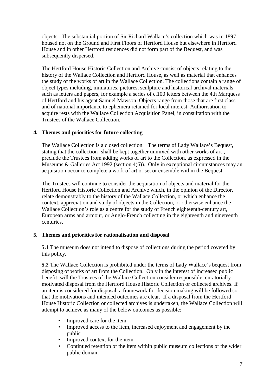objects. The substantial portion of Sir Richard Wallace's collection which was in 1897 housed not on the Ground and First Floors of Hertford House but elsewhere in Hertford House and in other Hertford residences did not form part of the Bequest, and was subsequently dispersed.

 the study of the works of art in the Wallace Collection. The collections contain a range of The Hertford House Historic Collection and Archive consist of objects relating to the history of the Wallace Collection and Hertford House, as well as material that enhances object types including, miniatures, pictures, sculpture and historical archival materials such as letters and papers, for example a series of c.100 letters between the 4th Marquess of Hertford and his agent Samuel Mawson. Objects range from those that are first class and of national importance to ephemera retained for local interest. Authorisation to acquire rests with the Wallace Collection Acquisition Panel, in consultation with the Trustees of the Wallace Collection.

# **4. Themes and priorities for future collecting**

 preclude the Trustees from adding works of art to the Collection, as expressed in the The Wallace Collection is a closed collection. The terms of Lady Wallace's Bequest, stating that the collection 'shall be kept together unmixed with other works of art', Museums & Galleries Act 1992 (section 4(6)). Only in exceptional circumstances may an acquisition occur to complete a work of art or set or ensemble within the Bequest.

 Hertford House Historic Collection and Archive which, in the opinion of the Director, Wallace Collection's role as a centre for the study of French eighteenth-century art, The Trustees will continue to consider the acquisition of objects and material for the relate demonstrably to the history of the Wallace Collection, or which enhance the context, appreciation and study of objects in the Collection, or otherwise enhance the European arms and armour, or Anglo-French collecting in the eighteenth and nineteenth centuries.

# **5. Themes and priorities for rationalisation and disposal**

 **5.1** The museum does not intend to dispose of collections during the period covered by this policy.

 an item is considered for disposal, a framework for decision making will be followed so that the motivations and intended outcomes are clear. If a disposal from the Hertford **5.2** The Wallace Collection is prohibited under the terms of Lady Wallace's bequest from disposing of works of art from the Collection. Only in the interest of increased public benefit, will the Trustees of the Wallace Collection consider responsible, curatoriallymotivated disposal from the Hertford House Historic Collection or collected archives. If House Historic Collection or collected archives is undertaken, the Wallace Collection will attempt to achieve as many of the below outcomes as possible:

- Improved care for the item
- Improved access to the item, increased enjoyment and engagement by the public
- Improved context for the item
- Continued retention of the item within public museum collections or the wider public domain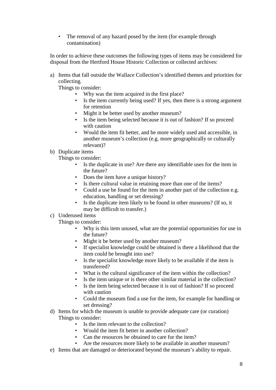• The removal of any hazard posed by the item (for example through contamination)

disposal from the Hertford House Historic Collection or collected archives: In order to achieve these outcomes the following types of items may be considered for

a) Items that fall outside the Wallace Collection's identified themes and priorities for collecting.

Things to consider:

- Why was the item acquired in the first place?
- • Is the item currently being used? If yes, then there is a strong argument for retention
- Might it be better used by another museum?
- Is the item being selected because it is out of fashion? If so proceed with caution
- Would the item fit better, and be more widely used and accessible, in another museum's collection (e.g. more geographically or culturally relevant)?

#### b) Duplicate items

Things to consider:

- Is the duplicate in use? Are there any identifiable uses for the item in the future?
- Does the item have a unique history?
- Is there cultural value in retaining more than one of the items?
- Could a use be found for the item in another part of the collection e.g. education, handling or set dressing?
- Is the duplicate item likely to be found in other museums? (If so, it may be difficult to transfer.)

# c) Underused items

Things to consider:

- Why is this item unused, what are the potential opportunities for use in the future?
- Might it be better used by another museum?
- If specialist knowledge could be obtained is there a likelihood that the item could be brought into use?
- Is the specialist knowledge more likely to be available if the item is transferred?
- What is the cultural significance of the item within the collection?
- Is the item unique or is there other similar material in the collection?
- Is the item being selected because it is out of fashion? If so proceed with caution
- Could the museum find a use for the item, for example for handling or set dressing?
- d) Items for which the museum is unable to provide adequate care (or curation) Things to consider:
	- Is the item relevant to the collection?
	- Would the item fit better in another collection?
	- Can the resources be obtained to care for the item?
	- Are the resources more likely to be available in another museum?
- e) Items that are damaged or deteriorated beyond the museum's ability to repair.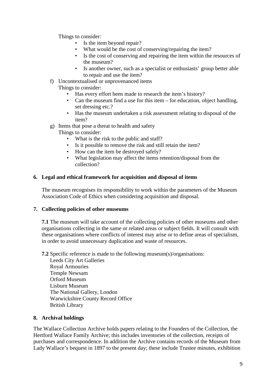Things to consider:

- Is the item beyond repair?
- What would be the cost of conserving/repairing the item?
- Is the cost of conserving and repairing the item within the resources of the museum?
- Is another owner, such as a specialist or enthusiasts' group better able to repair and use the item?
- f) Uncontextualised or unprovenanced items

Things to consider:

- Has every effort been made to research the item's history?
- Can the museum find a use for this item for education, object handling, set dressing etc.?
- Has the museum undertaken a risk assessment relating to disposal of the item?

g) Items that pose a threat to health and safety

Things to consider:

- What is the risk to the public and staff?
- Is it possible to remove the risk and still retain the item?
- How can the item be destroyed safely?
- What legislation may affect the items retention/disposal from the collection?

#### **6. Legal and ethical framework for acquisition and disposal of items**

 The museum recognises its responsibility to work within the parameters of the Museum Association Code of Ethics when considering acquisition and disposal.

#### **7. Collecting policies of other museums**

**7.1** The museum will take account of the collecting policies of other museums and other organisations collecting in the same or related areas or subject fields. It will consult with these organisations where conflicts of interest may arise or to define areas of specialism, in order to avoid unnecessary duplication and waste of resources.

**7.2** Specific reference is made to the following museum(s)/organisations:

Leeds City Art Galleries Royal Armouries Temple Newsam Orford Museum Lisburn Museum The National Gallery, London Warwickshire County Record Office British Library

# **8. Archival holdings**

The Wallace Collection Archive holds papers relating to the Founders of the Collection, the Hertford Wallace Family Archive; this includes inventories of the collection, receipts of purchases and correspondence. In addition the Archive contains records of the Museum from Lady Wallace's bequest in 1897 to the present day; these include Trustee minutes, exhibition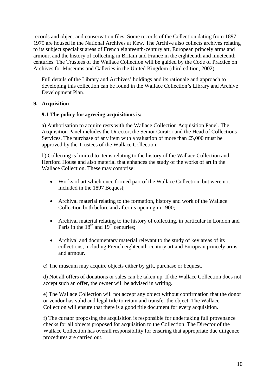1979 are housed in the National Archives at Kew. The Archive also collects archives relating records and object and conservation files. Some records of the Collection dating from 1897 – to its subject specialist areas of French eighteenth-century art, European princely arms and armour, and the history of collecting in Britain and France in the eighteenth and nineteenth centuries. The Trustees of the Wallace Collection will be guided by the Code of Practice on Archives for Museums and Galleries in the United Kingdom (third edition, 2002).

 Full details of the Library and Archives' holdings and its rationale and approach to developing this collection can be found in the Wallace Collection's Library and Archive Development Plan.

# **9. Acquisition**

# **9.1 The policy for agreeing acquisitions is:**

a) Authorisation to acquire rests with the Wallace Collection Acquisition Panel. The Acquisition Panel includes the Director, the Senior Curator and the Head of Collections Services. The purchase of any item with a valuation of more than £5,000 must be approved by the Trustees of the Wallace Collection.

 Hertford House and also material that enhances the study of the works of art in the b) Collecting is limited to items relating to the history of the Wallace Collection and Wallace Collection. These may comprise:

- Works of art which once formed part of the Wallace Collection, but were not included in the 1897 Bequest;
- • Archival material relating to the formation, history and work of the Wallace Collection both before and after its opening in 1900;
- Paris in the  $18<sup>th</sup>$  and  $19<sup>th</sup>$  centuries; • Archival material relating to the history of collecting, in particular in London and
- • Archival and documentary material relevant to the study of key areas of its collections, including French eighteenth-century art and European princely arms and armour.

c) The museum may acquire objects either by gift, purchase or bequest.

 d) Not all offers of donations or sales can be taken up. If the Wallace Collection does not accept such an offer, the owner will be advised in writing.

e) The Wallace Collection will not accept any object without confirmation that the donor or vendor has valid and legal title to retain and transfer the object. The Wallace Collection will ensure that there is a good title document for every acquisition.

f) The curator proposing the acquisition is responsible for undertaking full provenance checks for all objects proposed for acquisition to the Collection. The Director of the Wallace Collection has overall responsibility for ensuring that appropriate due diligence procedures are carried out.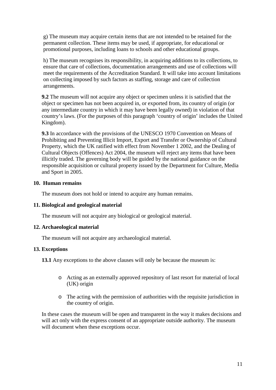promotional purposes, including loans to schools and other educational groups. g) The museum may acquire certain items that are not intended to be retained for the permanent collection. These items may be used, if appropriate, for educational or

h) The museum recognises its responsibility, in acquiring additions to its collections, to ensure that care of collections, documentation arrangements and use of collections will meet the requirements of the Accreditation Standard. It will take into account limitations on collecting imposed by such factors as staffing, storage and care of collection arrangements.

**9.2** The museum will not acquire any object or specimen unless it is satisfied that the object or specimen has not been acquired in, or exported from, its country of origin (or any intermediate country in which it may have been legally owned) in violation of that country's laws. (For the purposes of this paragraph 'country of origin' includes the United Kingdom).

 Prohibiting and Preventing Illicit Import, Export and Transfer or Ownership of Cultural **9.3** In accordance with the provisions of the UNESCO 1970 Convention on Means of Property, which the UK ratified with effect from November 1 2002, and the Dealing of Cultural Objects (Offences) Act 2004, the museum will reject any items that have been illicitly traded. The governing body will be guided by the national guidance on the responsible acquisition or cultural property issued by the Department for Culture, Media and Sport in 2005.

#### **10. Human remains**

The museum does not hold or intend to acquire any human remains.

# **11. Biological and geological material**

The museum will not acquire any biological or geological material.

# **12. Archaeological material**

The museum will not acquire any archaeological material.

# **13. Exceptions**

**13.1** Any exceptions to the above clauses will only be because the museum is:

- o Acting as an externally approved repository of last resort for material of local (UK) origin
- the country of origin. o The acting with the permission of authorities with the requisite jurisdiction in

In these cases the museum will be open and transparent in the way it makes decisions and will act only with the express consent of an appropriate outside authority. The museum will document when these exceptions occur.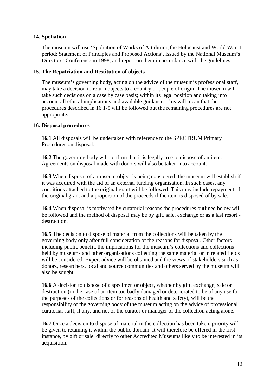# **14. Spoliation**

 The museum will use 'Spoliation of Works of Art during the Holocaust and World War II period: Statement of Principles and Proposed Actions', issued by the National Museum's Directors' Conference in 1998, and report on them in accordance with the guidelines.

#### **15. The Repatriation and Restitution of objects**

 may take a decision to return objects to a country or people of origin. The museum will The museum's governing body, acting on the advice of the museum's professional staff, take such decisions on a case by case basis; within its legal position and taking into account all ethical implications and available guidance. This will mean that the procedures described in 16.1-5 will be followed but the remaining procedures are not appropriate.

#### **16. Disposal procedures**

**16.1** All disposals will be undertaken with reference to the SPECTRUM Primary Procedures on disposal.

 **16.2** The governing body will confirm that it is legally free to dispose of an item. Agreements on disposal made with donors will also be taken into account.

**16.3** When disposal of a museum object is being considered, the museum will establish if it was acquired with the aid of an external funding organisation. In such cases, any conditions attached to the original grant will be followed. This may include repayment of the original grant and a proportion of the proceeds if the item is disposed of by sale.

 be followed and the method of disposal may be by gift, sale, exchange or as a last resort - **16.4** When disposal is motivated by curatorial reasons the procedures outlined below will destruction.

 **16.5** The decision to dispose of material from the collections will be taken by the governing body only after full consideration of the reasons for disposal. Other factors including public benefit, the implications for the museum's collections and collections held by museums and other organisations collecting the same material or in related fields will be considered. Expert advice will be obtained and the views of stakeholders such as donors, researchers, local and source communities and others served by the museum will also be sought.

**16.6** A decision to dispose of a specimen or object, whether by gift, exchange, sale or destruction (in the case of an item too badly damaged or deteriorated to be of any use for the purposes of the collections or for reasons of health and safety), will be the responsibility of the governing body of the museum acting on the advice of professional curatorial staff, if any, and not of the curator or manager of the collection acting alone.

**16.7** Once a decision to dispose of material in the collection has been taken, priority will be given to retaining it within the public domain. It will therefore be offered in the first instance, by gift or sale, directly to other Accredited Museums likely to be interested in its acquisition.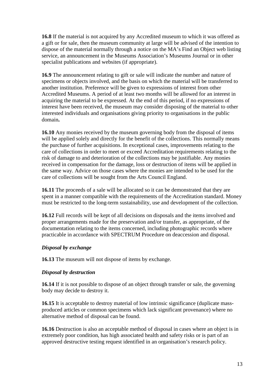**16.8** If the material is not acquired by any Accredited museum to which it was offered as a gift or for sale, then the museum community at large will be advised of the intention to dispose of the material normally through a notice on the MA's Find an Object web listing service, an announcement in the Museums Association's Museums Journal or in other specialist publications and websites (if appropriate).

**16.9** The announcement relating to gift or sale will indicate the number and nature of specimens or objects involved, and the basis on which the material will be transferred to another institution. Preference will be given to expressions of interest from other Accredited Museums. A period of at least two months will be allowed for an interest in acquiring the material to be expressed. At the end of this period, if no expressions of interest have been received, the museum may consider disposing of the material to other interested individuals and organisations giving priority to organisations in the public domain**.** 

 will be applied solely and directly for the benefit of the collections. This normally means risk of damage to and deterioration of the collections may be justifiable. Any monies **16.10** Any monies received by the museum governing body from the disposal of items the purchase of further acquisitions. In exceptional cases, improvements relating to the care of collections in order to meet or exceed Accreditation requirements relating to the received in compensation for the damage, loss or destruction of items will be applied in the same way. Advice on those cases where the monies are intended to be used for the care of collections will be sought from the Arts Council England.

**16.11** The proceeds of a sale will be allocated so it can be demonstrated that they are spent in a manner compatible with the requirements of the Accreditation standard. Money must be restricted to the long-term sustainability, use and development of the collection.

**16.12** Full records will be kept of all decisions on disposals and the items involved and proper arrangements made for the preservation and/or transfer, as appropriate, of the documentation relating to the items concerned, including photographic records where practicable in accordance with SPECTRUM Procedure on deaccession and disposal.

# *Disposal by exchange*

**16.13** The museum will not dispose of items by exchange.

# *Disposal by destruction*

**16.14** If it is not possible to dispose of an object through transfer or sale, the governing body may decide to destroy it.

 alternative method of disposal can be found. **16.15** It is acceptable to destroy material of low intrinsic significance (duplicate massproduced articles or common specimens which lack significant provenance) where no

**16.16** Destruction is also an acceptable method of disposal in cases where an object is in extremely poor condition, has high associated health and safety risks or is part of an approved destructive testing request identified in an organisation's research policy.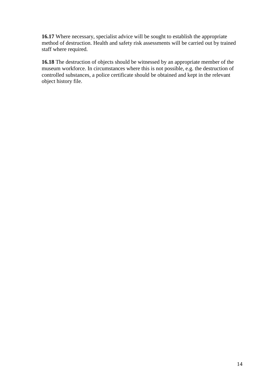**16.17** Where necessary, specialist advice will be sought to establish the appropriate method of destruction. Health and safety risk assessments will be carried out by trained staff where required.

**16.18** The destruction of objects should be witnessed by an appropriate member of the museum workforce. In circumstances where this is not possible, e.g. the destruction of controlled substances, a police certificate should be obtained and kept in the relevant object history file.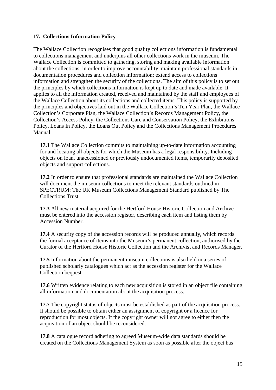# **17. Collections Information Policy**

 Wallace Collection is committed to gathering, storing and making available information information and strengthen the security of the collections. The aim of this policy is to set out the principles and objectives laid out in the Wallace Collection's Ten Year Plan, the Wallace The Wallace Collection recognises that good quality collections information is fundamental to collections management and underpins all other collections work in the museum. The about the collections, in order to improve accountability; maintain professional standards in documentation procedures and collection information; extend access to collections the principles by which collections information is kept up to date and made available. It applies to all the information created, received and maintained by the staff and employees of the Wallace Collection about its collections and collected items. This policy is supported by Collection's Corporate Plan, the Wallace Collection's Records Management Policy, the Collection's Access Policy, the Collections Care and Conservation Policy, the Exhibitions Policy, Loans In Policy, the Loans Out Policy and the Collections Management Procedures Manual.

**17.1** The Wallace Collection commits to maintaining up-to-date information accounting for and locating all objects for which the Museum has a legal responsibility. Including objects on loan, unaccessioned or previously undocumented items, temporarily deposited objects and support collections.

**17.2** In order to ensure that professional standards are maintained the Wallace Collection will document the museum collections to meet the relevant standards outlined in SPECTRUM: The UK Museum Collections Management Standard published by The Collections Trust.

 **17.3** All new material acquired for the Hertford House Historic Collection and Archive must be entered into the accession register, describing each item and listing them by Accession Number.

**17.4** A security copy of the accession records will be produced annually, which records the formal acceptance of items into the Museum's permanent collection, authorised by the Curator of the Hertford House Historic Collection and the Archivist and Records Manager.

 **17.5** Information about the permanent museum collections is also held in a series of published scholarly catalogues which act as the accession register for the Wallace Collection bequest.

**17.6** Written evidence relating to each new acquisition is stored in an object file containing all information and documentation about the acquisition process.

 **17.7** The copyright status of objects must be established as part of the acquisition process. It should be possible to obtain either an assignment of copyright or a licence for reproduction for most objects. If the copyright owner will not agree to either then the acquisition of an object should be reconsidered.

**17.8** A catalogue record adhering to agreed Museum-wide data standards should be created on the Collections Management System as soon as possible after the object has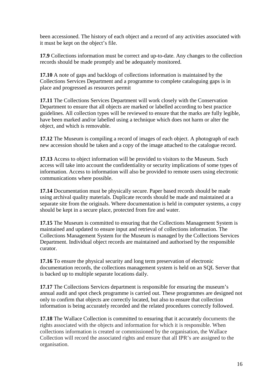been accessioned. The history of each object and a record of any activities associated with it must be kept on the object's file.

 **17.9** Collections information must be correct and up-to-date. Any changes to the collection records should be made promptly and be adequately monitored.

 Collections Services Department and a programme to complete cataloguing gaps is in **17.10** A note of gaps and backlogs of collections information is maintained by the place and progressed as resources permit

 Department to ensure that all objects are marked or labelled according to best practice **17.11** The Collections Services Department will work closely with the Conservation guidelines. All collection types will be reviewed to ensure that the marks are fully legible, have been marked and/or labelled using a technique which does not harm or alter the object, and which is removable.

**17.12** The Museum is compiling a record of images of each object. A photograph of each new accession should be taken and a copy of the image attached to the catalogue record.

 access will take into account the confidentiality or security implications of some types of **17.13** Access to object information will be provided to visitors to the Museum. Such information. Access to information will also be provided to remote users using electronic communications where possible.

**17.14** Documentation must be physically secure. Paper based records should be made using archival quality materials. Duplicate records should be made and maintained at a separate site from the originals. Where documentation is held in computer systems, a copy should be kept in a secure place, protected from fire and water.

**17.15** The Museum is committed to ensuring that the Collections Management System is maintained and updated to ensure input and retrieval of collections information. The Collections Management System for the Museum is managed by the Collections Services Department. Individual object records are maintained and authorised by the responsible curator.

**17.16** To ensure the physical security and long term preservation of electronic documentation records, the collections management system is held on an SQL Server that is backed up to multiple separate locations daily.

 information is being accurately recorded and the related procedures correctly followed. **17.17** The Collections Services department is responsible for ensuring the museum's annual audit and spot check programme is carried out. These programmes are designed not only to confirm that objects are correctly located, but also to ensure that collection

 Collection will record the associated rights and ensure that all IPR's are assigned to the **17.18** The Wallace Collection is committed to ensuring that it accurately documents the rights associated with the objects and information for which it is responsible. When collections information is created or commissioned by the organisation, the Wallace organisation.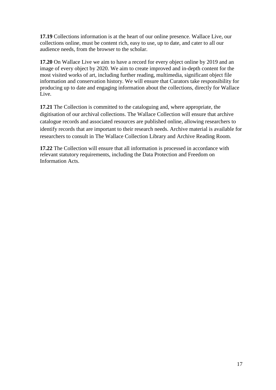**17.19** Collections information is at the heart of our online presence. Wallace Live, our collections online, must be content rich, easy to use, up to date, and cater to all our audience needs, from the browser to the scholar.

**17.20** On Wallace Live we aim to have a record for every object online by 2019 and an image of every object by 2020. We aim to create improved and in-depth content for the most visited works of art, including further reading, multimedia, significant object file information and conservation history. We will ensure that Curators take responsibility for producing up to date and engaging information about the collections, directly for Wallace Live.

 digitisation of our archival collections. The Wallace Collection will ensure that archive **17.21** The Collection is committed to the cataloguing and, where appropriate, the catalogue records and associated resources are published online, allowing researchers to identify records that are important to their research needs. Archive material is available for researchers to consult in The Wallace Collection Library and Archive Reading Room.

**17.22** The Collection will ensure that all information is processed in accordance with relevant statutory requirements, including the Data Protection and Freedom on Information Acts.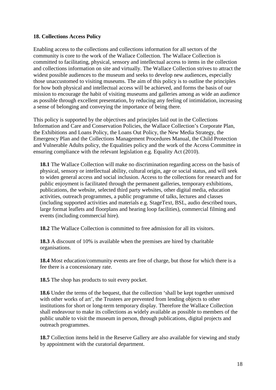# **18. Collections Access Policy**

 mission to encourage the habit of visiting museums and galleries among as wide an audience Enabling access to the collections and collections information for all sectors of the community is core to the work of the Wallace Collection. The Wallace Collection is committed to facilitating, physical, sensory and intellectual access to items in the collection and collections information on site and virtually. The Wallace Collection strives to attract the widest possible audiences to the museum and seeks to develop new audiences, especially those unaccustomed to visiting museums. The aim of this policy is to outline the principles for how both physical and intellectual access will be achieved, and forms the basis of our as possible through excellent presentation, by reducing any feeling of intimidation, increasing a sense of belonging and conveying the importance of being there.

 ensuring compliance with the relevant legislation e.g. Equality Act (2010). This policy is supported by the objectives and principles laid out in the Collections Information and Care and Conservation Policies, the Wallace Collection's Corporate Plan, the Exhibitions and Loans Policy, the Loans Out Policy, the New Media Strategy, the Emergency Plan and the Collections Management Procedures Manual, the Child Protection and Vulnerable Adults policy, the Equalities policy and the work of the Access Committee in

 activities, outreach programmes, a public programme of talks, lectures and classes **18.1** The Wallace Collection will make no discrimination regarding access on the basis of physical, sensory or intellectual ability, cultural origin, age or social status, and will seek to widen general access and social inclusion. Access to the collections for research and for public enjoyment is facilitated through the permanent galleries, temporary exhibitions, publications, the website, selected third party websites, other digital media, education (including supported activities and materials e.g. StageText, BSL, audio described tours, large format leaflets and floorplans and hearing loop facilities), commercial filming and events (including commercial hire).

**18.2** The Wallace Collection is committed to free admission for all its visitors.

**18.3** A discount of 10% is available when the premises are hired by charitable organisations.

**18.4** Most education/community events are free of charge, but those for which there is a fee there is a concessionary rate.

**18.5** The shop has products to suit every pocket.

**18.6** Under the terms of the bequest, that the collection 'shall be kept together unmixed with other works of art', the Trustees are prevented from lending objects to other institutions for short or long-term temporary display. Therefore the Wallace Collection shall endeavour to make its collections as widely available as possible to members of the public unable to visit the museum in person, through publications, digital projects and outreach programmes.

 **18.7** Collection items held in the Reserve Gallery are also available for viewing and study by appointment with the curatorial department.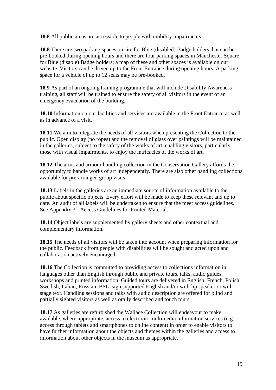**18.8** All public areas are accessible to people with mobility impairments.

**18.8** There are two parking spaces on site for Blue (disabled) Badge holders that can be pre-booked during opening hours and there are four parking spaces in Manchester Square for Blue (disable) Badge holders; a map of these and other spaces is available on our website. Visitors can be driven up to the Front Entrance during opening hours. A parking space for a vehicle of up to 12 seats may be pre-booked.

 **18.9** As part of an ongoing training programme that will include Disability Awareness training, all staff will be trained to ensure the safety of all visitors in the event of an emergency evacuation of the building.

 **18.10** Information on our facilities and services are available in the Front Entrance as well as in advance of a visit.

 in the galleries, subject to the safety of the works of art, enabling visitors, particularly those with visual impairments, to enjoy the intricacies of the works of art. **18.11** We aim to integrate the needs of all visitors when presenting the Collection to the public. Open display (no ropes) and the removal of glass over paintings will be maintained

 opportunity to handle works of art independently. There are also other handling collections available for pre-arranged group visits. **18.12** The arms and armour handling collection in the Conservation Gallery affords the

 See Appendix 3 - Access Guidelines for Printed Material. **18.13** Labels in the galleries are an immediate source of information available to the public about specific objects. Every effort will be made to keep these relevant and up to date. An audit of all labels will be undertaken to ensure that the meet access guidelines.

**18.14** Object labels are supplemented by gallery sheets and other contextual and complementary information.

**18.15** The needs of all visitors will be taken into account when preparing information for the public. Feedback from people with disabilities will be sought and acted upon and collaboration actively encouraged.

**18.16** The Collection is committed to providing access to collections information in languages other than English through public and private tours, talks, audio guides, workshops and printed information. Guided tours are delivered in English, French, Polish, Swedish, Italian, Russian, BSL, sign supported English and/or with lip speaker or with stage text. Handling sessions and talks with audio description are offered for blind and partially sighted visitors as well as orally described and touch tours

 available, where appropriate, access to electronic multimedia information services (e.g. **18.17** As galleries are refurbished the Wallace Collection will endeavour to make access through tablets and smartphones to online content) in order to enable visitors to have further information about the objects and themes within the galleries and access to information about other objects in the museum as appropriate.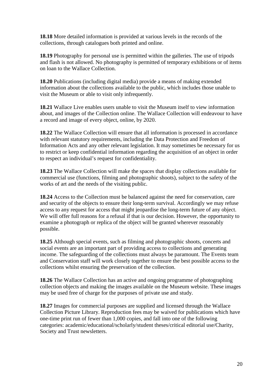**18.18** More detailed information is provided at various levels in the records of the collections, through catalogues both printed and online.

**18.19** Photography for personal use is permitted within the galleries. The use of tripods and flash is not allowed. No photography is permitted of temporary exhibitions or of items on loan to the Wallace Collection.

 visit the Museum or able to visit only infrequently. **18.20** Publications (including digital media) provide a means of making extended information about the collections available to the public, which includes those unable to

 a record and image of every object, online, by 2020. **18.21** Wallace Live enables users unable to visit the Museum itself to view information about, and images of the Collection online. The Wallace Collection will endeavour to have

 Information Acts and any other relevant legislation. It may sometimes be necessary for us to respect an individual's request for confidentiality. **18.22** The Wallace Collection will ensure that all information is processed in accordance with relevant statutory requirements, including the Data Protection and Freedom of to restrict or keep confidential information regarding the acquisition of an object in order

**18.23** The Wallace Collection will make the spaces that display collections available for commercial use (functions, filming and photographic shoots), subject to the safety of the works of art and the needs of the visiting public.

 examine a photograph or replica of the object will be granted wherever reasonably **18.24** Access to the Collection must be balanced against the need for conservation, care and security of the objects to ensure their long-term survival. Accordingly we may refuse access to any request for access that might jeopardise the long-term future of any object. We will offer full reasons for a refusal if that is our decision. However, the opportunity to possible.

 collections whilst ensuring the preservation of the collection. **18.25** Although special events, such as filming and photographic shoots, concerts and social events are an important part of providing access to collections and generating income. The safeguarding of the collections must always be paramount. The Events team and Conservation staff will work closely together to ensure the best possible access to the

 collection objects and making the images available on the Museum website. These images may be used free of charge for the purposes of private use and study. **18.26** The Wallace Collection has an active and ongoing programme of photographing

 **18.27** Images for commercial purposes are supplied and licensed through the Wallace Collection Picture Library. Reproduction fees may be waived for publications which have one-time print run of fewer than 1,000 copies, and fall into one of the following categories: academic/educational/scholarly/student theses/critical editorial use/Charity, Society and Trust newsletters.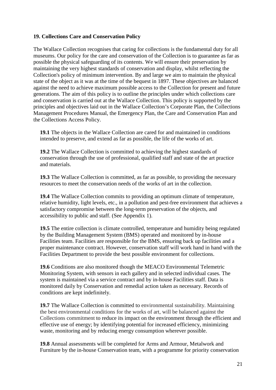#### **19. Collections Care and Conservation Policy**

 museums. Our policy for the care and conservation of the Collection is to guarantee as far as possible the physical safeguarding of its contents. We will ensure their preservation by state of the object as it was at the time of the bequest in 1897. These objectives are balanced against the need to achieve maximum possible access to the Collection for present and future generations. The aim of this policy is to outline the principles under which collections care and conservation is carried out at the Wallace Collection. This policy is supported by the The Wallace Collection recognises that caring for collections is the fundamental duty for all maintaining the very highest standards of conservation and display, whilst reflecting the Collection's policy of minimum intervention. By and large we aim to maintain the physical principles and objectives laid out in the Wallace Collection's Corporate Plan, the Collections Management Procedures Manual, the Emergency Plan, the Care and Conservation Plan and the Collections Access Policy.

 **19.1** The objects in the Wallace Collection are cared for and maintained in conditions intended to preserve, and extend as far as possible, the life of the works of art.

 conservation through the use of professional, qualified staff and state of the art practice **19.2** The Wallace Collection is committed to achieving the highest standards of and materials.

**19.3** The Wallace Collection is committed, as far as possible, to providing the necessary resources to meet the conservation needs of the works of art in the collection.

**19.4** The Wallace Collection commits to providing an optimum climate of temperature, relative humidity, light levels, etc., in a pollution and pest-free environment that achieves a satisfactory compromise between the long-term preservation of the objects, and accessibility to public and staff. (See Appendix 1).

**19.5** The entire collection is climate controlled, temperature and humidity being regulated by the Building Management System (BMS) operated and monitored by in-house Facilities team. Facilities are responsible for the BMS, ensuring back up facilities and a proper maintenance contract. However, conservation staff will work hand in hand with the Facilities Department to provide the best possible environment for collections.

 system is maintained via a service contract and by in-house Facilities staff. Data is **19.6** Conditions are also monitored though the MEACO Environmental Telemetric Monitoring System, with sensors in each gallery and in selected individual cases. The monitored daily by Conservation and remedial action taken as necessary. Records of conditions are kept indefinitely.

 effective use of energy; by identifying potential for increased efficiency, minimizing **19.7** The Wallace Collection is committed to environmental sustainability. Maintaining the best environmental conditions for the works of art, will be balanced against the Collections commitment to reduce its impact on the environment through the efficient and waste, monitoring and by reducing energy consumption wherever possible.

**19.8** Annual assessments will be completed for Arms and Armour, Metalwork and Furniture by the in-house Conservation team, with a programme for priority conservation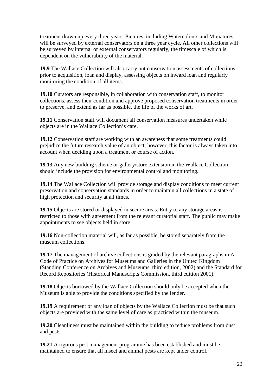treatment drawn up every three years. Pictures, including Watercolours and Miniatures, be surveyed by internal or external conservators regularly, the timescale of which is will be surveyed by external conservators on a three year cycle. All other collections will dependent on the vulnerability of the material.

**19.9** The Wallace Collection will also carry out conservation assessments of collections prior to acquisition, loan and display, assessing objects on inward loan and regularly monitoring the condition of all items.

 to preserve, and extend as far as possible, the life of the works of art. **19.10** Curators are responsible, in collaboration with conservation staff, to monitor collections, assess their condition and approve proposed conservation treatments in order

**19.11** Conservation staff will document all conservation measures undertaken while objects are in the Wallace Collection's care.

 **19.12** Conservation staff are working with an awareness that some treatments could prejudice the future research value of an object; however, this factor is always taken into account when deciding upon a treatment or course of action.

 **19.13** Any new building scheme or gallery/store extension in the Wallace Collection should include the provision for environmental control and monitoring.

**19.14** The Wallace Collection will provide storage and display conditions to meet current preservation and conservation standards in order to maintain all collections in a state of high protection and security at all times.

**19.15** Objects are stored or displayed in secure areas. Entry to any storage areas is restricted to those with agreement from the relevant curatorial staff. The public may make appointments to see objects held in store.

 museum collections. **19.16** Non-collection material will, as far as possible, be stored separately from the

**19.17** The management of archive collections is guided by the relevant paragraphs in A Code of Practice on Archives for Museums and Galleries in the United Kingdom (Standing Conference on Archives and Museums, third edition, 2002) and the Standard for Record Repositories (Historical Manuscripts Commission, third edition 2001).

**19.18** Objects borrowed by the Wallace Collection should only be accepted when the Museum is able to provide the conditions specified by the lender.

**19.19** A requirement of any loan of objects by the Wallace Collection must be that such objects are provided with the same level of care as practiced within the museum.

**19.20** Cleanliness must be maintained within the building to reduce problems from dust and pests.

**19.21** A rigorous pest management programme has been established and must be maintained to ensure that all insect and animal pests are kept under control.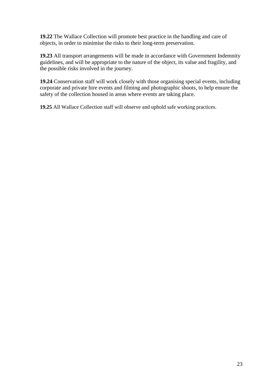**19.22** The Wallace Collection will promote best practice in the handling and care of objects, in order to minimise the risks to their long-term preservation.

 **19.23** All transport arrangements will be made in accordance with Government Indemnity guidelines, and will be appropriate to the nature of the object, its value and fragility, and the possible risks involved in the journey.

**19.24** Conservation staff will work closely with those organising special events, including corporate and private hire events and filming and photographic shoots, to help ensure the safety of the collection housed in areas where events are taking place.

**19.25** All Wallace Collection staff will observe and uphold safe working practices.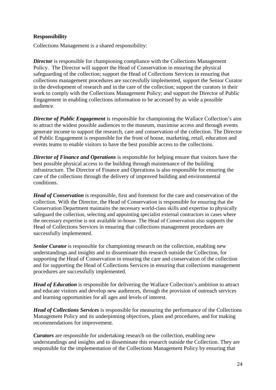# **Responsibility**

Collections Management is a shared responsibility:

 safeguarding of the collection; support the Head of Collections Services in ensuring that work to comply with the Collections Management Policy; and support the Director of Public *Director* is responsible for championing compliance with the Collections Management Policy. The Director will support the Head of Conservation in ensuring the physical collections management procedures are successfully implemented, support the Senior Curator in the development of research and in the care of the collection; support the curators in their Engagement in enabling collections information to be accessed by as wide a possible audience.

 of Public Engagement is responsible for the front of house, marketing, retail, education and *Director of Public Engagement* is responsible for championing the Wallace Collection's aim to attract the widest possible audiences to the museum, maximise access and through events generate income to support the research, care and conservation of the collection. The Director events teams to enable visitors to have the best possible access to the collections.

*Director of Finance and Operations* is responsible for helping ensure that visitors have the best possible physical access to the building through maintenance of the building infrastructure. The Director of Finance and Operations is also responsible for ensuring the care of the collections through the delivery of improved building and environmental conditions.

 collection. With the Director, the Head of Conservation is responsible for ensuring that the *Head of Conservation* is responsible, first and foremost for the care and conservation of the Conservation Department maintains the necessary world-class skills and expertise to physically safeguard the collection, selecting and appointing specialist external contractors in cases where the necessary expertise is not available in-house. The Head of Conservation also supports the Head of Collections Services in ensuring that collections management procedures are successfully implemented.

 understandings and insights and to disseminate this research outside the Collection, for *Senior Curator* is responsible for championing research on the collection, enabling new supporting the Head of Conservation in ensuring the care and conservation of the collection and for supporting the Head of Collections Services in ensuring that collections management procedures are successfully implemented.

Head of Education is responsible for delivering the Wallace Collection's ambition to attract and educate visitors and develop new audiences, through the provision of outreach services and learning opportunities for all ages and levels of interest.

*Head of Collections Services* is responsible for measuring the performance of the Collections Management Policy and its underpinning objectives, plans and procedures, and for making recommendations for improvement.

 responsible for the implementation of the Collections Management Policy by ensuring that *Curators* are responsible for undertaking research on the collection, enabling new understandings and insights and to disseminate this research outside the Collection. They are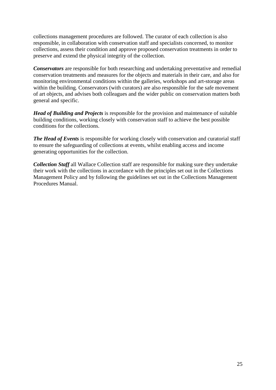collections management procedures are followed. The curator of each collection is also responsible, in collaboration with conservation staff and specialists concerned, to monitor collections, assess their condition and approve proposed conservation treatments in order to preserve and extend the physical integrity of the collection.

 conservation treatments and measures for the objects and materials in their care, and also for *Conservators* are responsible for both researching and undertaking preventative and remedial monitoring environmental conditions within the galleries, workshops and art-storage areas within the building. Conservators (with curators) are also responsible for the safe movement of art objects, and advises both colleagues and the wider public on conservation matters both general and specific.

*Head of Building and Projects* is responsible for the provision and maintenance of suitable building conditions, working closely with conservation staff to achieve the best possible conditions for the collections.

 to ensure the safeguarding of collections at events, whilst enabling access and income *The Head of Events* is responsible for working closely with conservation and curatorial staff generating opportunities for the collection.

 their work with the collections in accordance with the principles set out in the Collections *Collection Staff* all Wallace Collection staff are responsible for making sure they undertake Management Policy and by following the guidelines set out in the Collections Management Procedures Manual.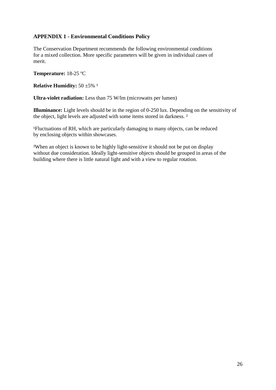# **APPENDIX 1 - Environmental Conditions Policy**

 for a mixed collection. More specific parameters will be given in individual cases of The Conservation Department recommends the following environmental conditions merit.

**Temperature:** 18-25 ºC

**Relative Humidity:**  $50 \pm 5\%$ <sup>1</sup>

**Ultra-violet radiation:** Less than 75 W/lm (microwatts per lumen)

the object, light levels are adjusted with some items stored in darkness.<sup>2</sup> **Illuminance:** Light levels should be in the region of 0-250 lux. Depending on the sensitivity of

<sup>1</sup>Fluctuations of RH, which are particularly damaging to many objects, can be reduced by enclosing objects within showcases.

 ²When an object is known to be highly light-sensitive it should not be put on display without due consideration. Ideally light-sensitive objects should be grouped in areas of the building where there is little natural light and with a view to regular rotation.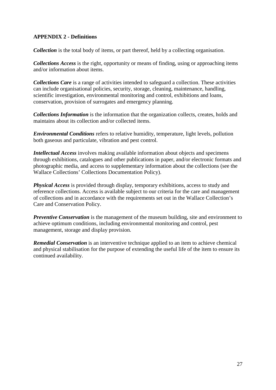# **APPENDIX 2 - Definitions**

*Collection* is the total body of items, or part thereof, held by a collecting organisation.

*Collections Access* is the right, opportunity or means of finding, using or approaching items and/or information about items.

*Collections Care* is a range of activities intended to safeguard a collection. These activities can include organisational policies, security, storage, cleaning, maintenance, handling, scientific investigation, environmental monitoring and control, exhibitions and loans, conservation, provision of surrogates and emergency planning.

*Collections Information* is the information that the organization collects, creates, holds and maintains about its collection and/or collected items.

 both gaseous and particulate, vibration and pest control. *Environmental Conditions* refers to relative humidity, temperature, light levels, pollution

*Intellectual Access* involves making available information about objects and specimens through exhibitions, catalogues and other publications in paper, and/or electronic formats and photographic media, and access to supplementary information about the collections (see the Wallace Collections' Collections Documentation Policy).

*Physical Access* is provided through display, temporary exhibitions, access to study and reference collections. Access is available subject to our criteria for the care and management of collections and in accordance with the requirements set out in the Wallace Collection's Care and Conservation Policy.

*Preventive Conservation* is the management of the museum building, site and environment to achieve optimum conditions, including environmental monitoring and control, pest management, storage and display provision.

*Remedial Conservation* is an interventive technique applied to an item to achieve chemical and physical stabilisation for the purpose of extending the useful life of the item to ensure its continued availability.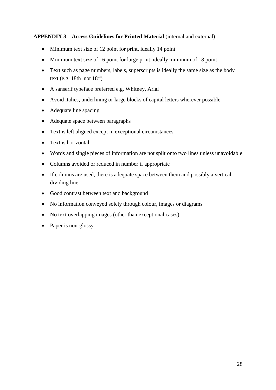# **APPENDIX 3 – Access Guidelines for Printed Material** (internal and external)

- Minimum text size of 12 point for print, ideally 14 point
- Minimum text size of 16 point for large print, ideally minimum of 18 point
- Text such as page numbers, labels, superscripts is ideally the same size as the body text (e.g. 18th not  $18^{th}$ )
- A sanserif typeface preferred e.g. Whitney, Arial
- Avoid italics, underlining or large blocks of capital letters wherever possible
- Adequate line spacing
- Adequate space between paragraphs
- Text is left aligned except in exceptional circumstances
- Text is horizontal
- Words and single pieces of information are not split onto two lines unless unavoidable
- Columns avoided or reduced in number if appropriate
- If columns are used, there is adequate space between them and possibly a vertical dividing line
- Good contrast between text and background
- No information conveyed solely through colour, images or diagrams
- No text overlapping images (other than exceptional cases)
- Paper is non-glossy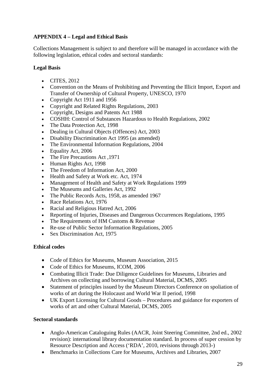# **APPENDIX 4 – Legal and Ethical Basis**

Collections Management is subject to and therefore will be managed in accordance with the following legislation, ethical codes and sectoral standards:

# **Legal Basis**

- CITES, 2012
- • Convention on the Means of Prohibiting and Preventing the Illicit Import, Export and Transfer of Ownership of Cultural Property, UNESCO, 1970
- Copyright Act 1911 and 1956
- Copyright and Related Rights Regulations, 2003
- Copyright, Designs and Patents Act 1988
- COSHH: Control of Substances Hazardous to Health Regulations, 2002
- The Data Protection Act, 1998
- Dealing in Cultural Objects (Offences) Act, 2003
- Disability Discrimination Act 1995 (as amended)
- The Environmental Information Regulations, 2004
- Equality Act, 2006
- The Fire Precautions Act ,1971
- Human Rights Act, 1998
- The Freedom of Information Act, 2000
- Health and Safety at Work etc. Act, 1974
- Management of Health and Safety at Work Regulations 1999
- The Museums and Galleries Act, 1992
- The Public Records Acts, 1958, as amended 1967
- Race Relations Act, 1976
- Racial and Religious Hatred Act, 2006
- Reporting of Injuries, Diseases and Dangerous Occurrences Regulations, 1995
- The Requirements of HM Customs & Revenue
- Re-use of Public Sector Information Regulations, 2005
- Sex Discrimination Act, 1975

# **Ethical codes**

- Code of Ethics for Museums, Museum Association, 2015
- Code of Ethics for Museums, ICOM, 2006
- Combating Illicit Trade: Due Diligence Guidelines for Museums, Libraries and Archives on collecting and borrowing Cultural Material, DCMS, 2005
- Statement of principles issued by the Museum Directors Conference on spoliation of works of art during the Holocaust and World War II period, 1998
- • UK Export Licensing for Cultural Goods Procedures and guidance for exporters of works of art and other Cultural Material, DCMS, 2005

# **Sectoral standards**

- revision): international library documentation standard. In process of super cession by • Anglo-American Cataloguing Rules (AACR, Joint Steering Committee, 2nd ed., 2002 Resource Description and Access ('RDA', 2010, revisions through 2013-)
- Benchmarks in Collections Care for Museums, Archives and Libraries, 2007